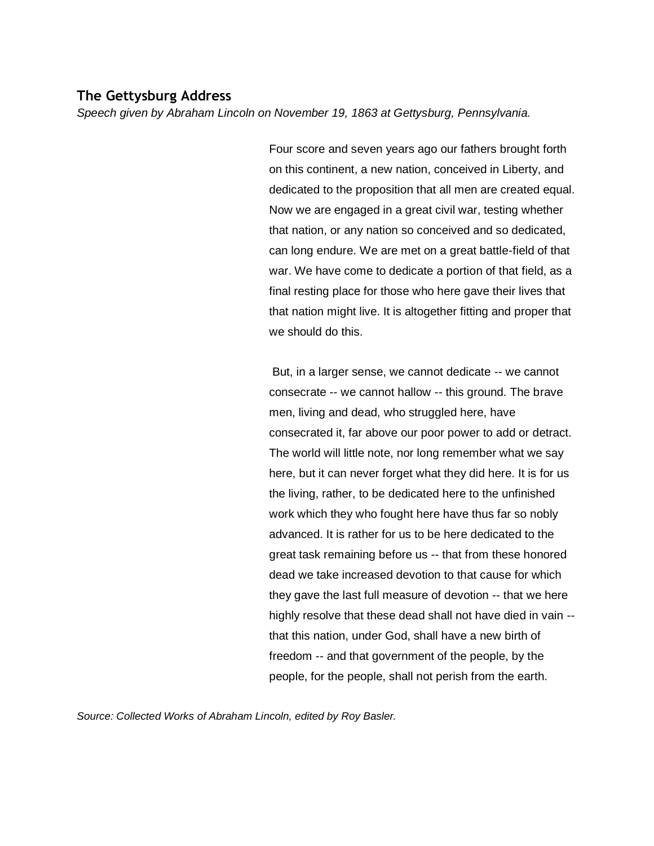# **The Gettysburg Address**

*Speech given by Abraham Lincoln on November 19, 1863 at Gettysburg, Pennsylvania.*

Four score and seven years ago our fathers brought forth on this continent, a new nation, conceived in Liberty, and dedicated to the proposition that all men are created equal. Now we are engaged in a great civil war, testing whether that nation, or any nation so conceived and so dedicated, can long endure. We are met on a great battle-field of that war. We have come to dedicate a portion of that field, as a final resting place for those who here gave their lives that that nation might live. It is altogether fitting and proper that we should do this.

But, in a larger sense, we cannot dedicate -- we cannot consecrate -- we cannot hallow -- this ground. The brave men, living and dead, who struggled here, have consecrated it, far above our poor power to add or detract. The world will little note, nor long remember what we say here, but it can never forget what they did here. It is for us the living, rather, to be dedicated here to the unfinished work which they who fought here have thus far so nobly advanced. It is rather for us to be here dedicated to the great task remaining before us -- that from these honored dead we take increased devotion to that cause for which they gave the last full measure of devotion -- that we here highly resolve that these dead shall not have died in vain - that this nation, under God, shall have a new birth of freedom -- and that government of the people, by the people, for the people, shall not perish from the earth.

*Source: Collected Works of Abraham Lincoln, edited by Roy Basler.*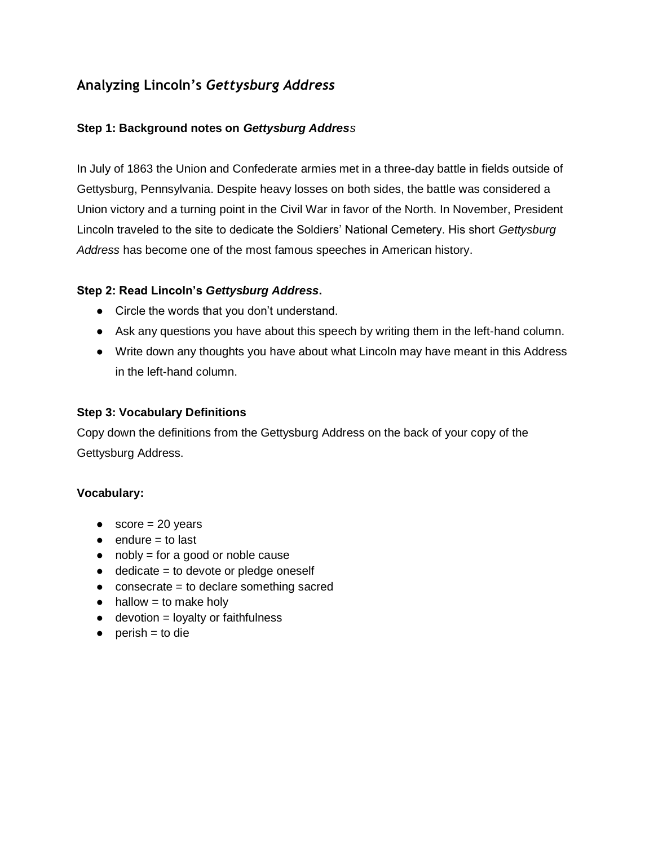# **Analyzing Lincoln's** *Gettysburg Address*

# **Step 1: Background notes on** *Gettysburg Address*

In July of 1863 the Union and Confederate armies met in a three-day battle in fields outside of Gettysburg, Pennsylvania. Despite heavy losses on both sides, the battle was considered a Union victory and a turning point in the Civil War in favor of the North. In November, President Lincoln traveled to the site to dedicate the Soldiers' National Cemetery. His short *Gettysburg Address* has become one of the most famous speeches in American history.

### **Step 2: Read Lincoln's** *Gettysburg Address***.**

- Circle the words that you don't understand.
- Ask any questions you have about this speech by writing them in the left-hand column.
- Write down any thoughts you have about what Lincoln may have meant in this Address in the left-hand column.

### **Step 3: Vocabulary Definitions**

Copy down the definitions from the Gettysburg Address on the back of your copy of the Gettysburg Address.

#### **Vocabulary:**

- $\bullet$  score = 20 years
- $\bullet$  endure = to last
- $\bullet$  nobly = for a good or noble cause
- $\bullet$  dedicate = to devote or pledge oneself
- $\bullet$  consecrate = to declare something sacred
- $\bullet$  hallow = to make holy
- $\bullet$  devotion = loyalty or faithfulness
- $\bullet$  perish = to die